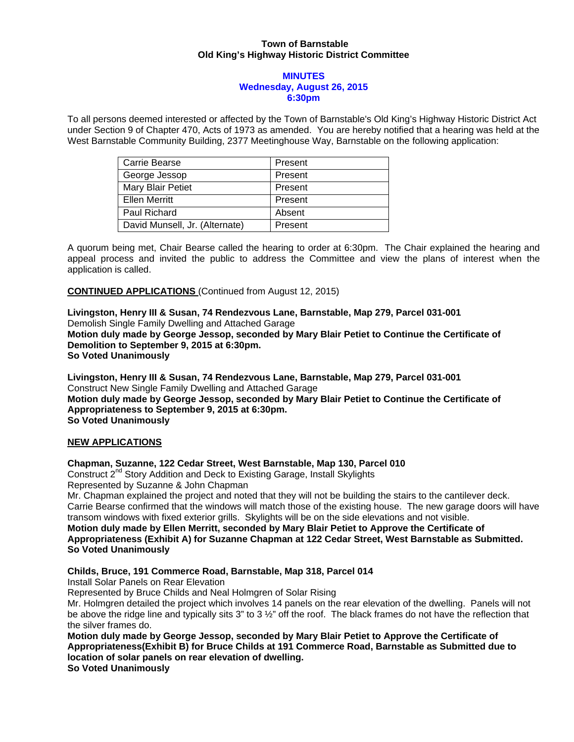### **Town of Barnstable Old King's Highway Historic District Committee**

### **MINUTES Wednesday, August 26, 2015 6:30pm**

To all persons deemed interested or affected by the Town of Barnstable's Old King's Highway Historic District Act under Section 9 of Chapter 470, Acts of 1973 as amended. You are hereby notified that a hearing was held at the West Barnstable Community Building, 2377 Meetinghouse Way, Barnstable on the following application:

| Carrie Bearse                  | Present |
|--------------------------------|---------|
| George Jessop                  | Present |
| Mary Blair Petiet              | Present |
| <b>Ellen Merritt</b>           | Present |
| Paul Richard                   | Absent  |
| David Munsell, Jr. (Alternate) | Present |

A quorum being met, Chair Bearse called the hearing to order at 6:30pm. The Chair explained the hearing and appeal process and invited the public to address the Committee and view the plans of interest when the application is called.

**CONTINUED APPLICATIONS** (Continued from August 12, 2015)

**Livingston, Henry III & Susan, 74 Rendezvous Lane, Barnstable, Map 279, Parcel 031-001**  Demolish Single Family Dwelling and Attached Garage **Motion duly made by George Jessop, seconded by Mary Blair Petiet to Continue the Certificate of Demolition to September 9, 2015 at 6:30pm. So Voted Unanimously** 

**Livingston, Henry III & Susan, 74 Rendezvous Lane, Barnstable, Map 279, Parcel 031-001**  Construct New Single Family Dwelling and Attached Garage **Motion duly made by George Jessop, seconded by Mary Blair Petiet to Continue the Certificate of Appropriateness to September 9, 2015 at 6:30pm. So Voted Unanimously** 

## **NEW APPLICATIONS**

## **Chapman, Suzanne, 122 Cedar Street, West Barnstable, Map 130, Parcel 010**

Construct 2<sup>nd</sup> Story Addition and Deck to Existing Garage, Install Skylights Represented by Suzanne & John Chapman

Mr. Chapman explained the project and noted that they will not be building the stairs to the cantilever deck. Carrie Bearse confirmed that the windows will match those of the existing house. The new garage doors will have transom windows with fixed exterior grills. Skylights will be on the side elevations and not visible.

**Motion duly made by Ellen Merritt, seconded by Mary Blair Petiet to Approve the Certificate of Appropriateness (Exhibit A) for Suzanne Chapman at 122 Cedar Street, West Barnstable as Submitted. So Voted Unanimously** 

## **Childs, Bruce, 191 Commerce Road, Barnstable, Map 318, Parcel 014**

Install Solar Panels on Rear Elevation

Represented by Bruce Childs and Neal Holmgren of Solar Rising

Mr. Holmgren detailed the project which involves 14 panels on the rear elevation of the dwelling. Panels will not be above the ridge line and typically sits 3" to 3  $\frac{1}{2}$ " off the roof. The black frames do not have the reflection that the silver frames do.

**Motion duly made by George Jessop, seconded by Mary Blair Petiet to Approve the Certificate of Appropriateness(Exhibit B) for Bruce Childs at 191 Commerce Road, Barnstable as Submitted due to location of solar panels on rear elevation of dwelling.** 

**So Voted Unanimously**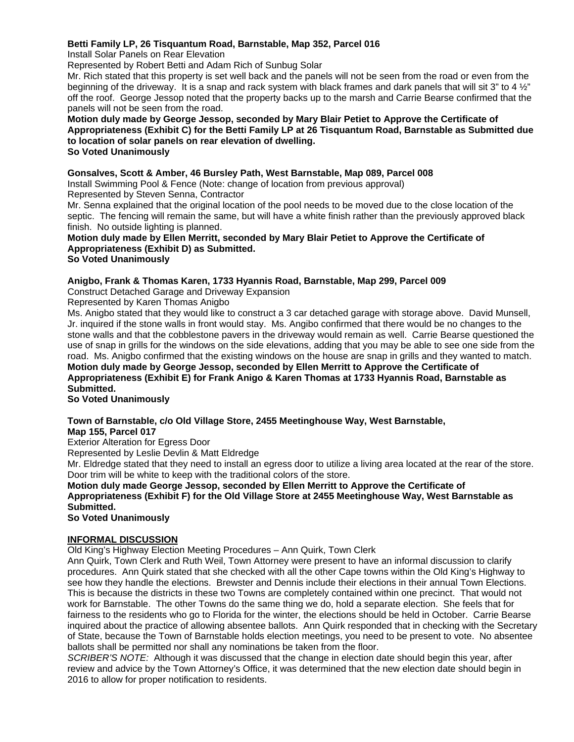## **Betti Family LP, 26 Tisquantum Road, Barnstable, Map 352, Parcel 016**

Install Solar Panels on Rear Elevation

Represented by Robert Betti and Adam Rich of Sunbug Solar

Mr. Rich stated that this property is set well back and the panels will not be seen from the road or even from the beginning of the driveway. It is a snap and rack system with black frames and dark panels that will sit 3" to 4 ½" off the roof. George Jessop noted that the property backs up to the marsh and Carrie Bearse confirmed that the panels will not be seen from the road.

**Motion duly made by George Jessop, seconded by Mary Blair Petiet to Approve the Certificate of Appropriateness (Exhibit C) for the Betti Family LP at 26 Tisquantum Road, Barnstable as Submitted due to location of solar panels on rear elevation of dwelling. So Voted Unanimously** 

## **Gonsalves, Scott & Amber, 46 Bursley Path, West Barnstable, Map 089, Parcel 008**

Install Swimming Pool & Fence (Note: change of location from previous approval)

Represented by Steven Senna, Contractor

Mr. Senna explained that the original location of the pool needs to be moved due to the close location of the septic. The fencing will remain the same, but will have a white finish rather than the previously approved black finish. No outside lighting is planned.

## **Motion duly made by Ellen Merritt, seconded by Mary Blair Petiet to Approve the Certificate of Appropriateness (Exhibit D) as Submitted.**

### **So Voted Unanimously**

## **Anigbo, Frank & Thomas Karen, 1733 Hyannis Road, Barnstable, Map 299, Parcel 009**

Construct Detached Garage and Driveway Expansion

Represented by Karen Thomas Anigbo

Ms. Anigbo stated that they would like to construct a 3 car detached garage with storage above. David Munsell, Jr. inquired if the stone walls in front would stay. Ms. Angibo confirmed that there would be no changes to the stone walls and that the cobblestone pavers in the driveway would remain as well. Carrie Bearse questioned the use of snap in grills for the windows on the side elevations, adding that you may be able to see one side from the road. Ms. Anigbo confirmed that the existing windows on the house are snap in grills and they wanted to match. **Motion duly made by George Jessop, seconded by Ellen Merritt to Approve the Certificate of Appropriateness (Exhibit E) for Frank Anigo & Karen Thomas at 1733 Hyannis Road, Barnstable as Submitted.** 

**So Voted Unanimously** 

# **Town of Barnstable, c/o Old Village Store, 2455 Meetinghouse Way, West Barnstable,**

**Map 155, Parcel 017** 

Exterior Alteration for Egress Door

Represented by Leslie Devlin & Matt Eldredge

Mr. Eldredge stated that they need to install an egress door to utilize a living area located at the rear of the store. Door trim will be white to keep with the traditional colors of the store.

**Motion duly made George Jessop, seconded by Ellen Merritt to Approve the Certificate of Appropriateness (Exhibit F) for the Old Village Store at 2455 Meetinghouse Way, West Barnstable as Submitted.** 

**So Voted Unanimously** 

### **INFORMAL DISCUSSION**

Old King's Highway Election Meeting Procedures – Ann Quirk, Town Clerk

Ann Quirk, Town Clerk and Ruth Weil, Town Attorney were present to have an informal discussion to clarify procedures. Ann Quirk stated that she checked with all the other Cape towns within the Old King's Highway to see how they handle the elections. Brewster and Dennis include their elections in their annual Town Elections. This is because the districts in these two Towns are completely contained within one precinct. That would not work for Barnstable. The other Towns do the same thing we do, hold a separate election. She feels that for fairness to the residents who go to Florida for the winter, the elections should be held in October. Carrie Bearse inquired about the practice of allowing absentee ballots. Ann Quirk responded that in checking with the Secretary of State, because the Town of Barnstable holds election meetings, you need to be present to vote. No absentee ballots shall be permitted nor shall any nominations be taken from the floor.

*SCRIBER'S NOTE:* Although it was discussed that the change in election date should begin this year, after review and advice by the Town Attorney's Office, it was determined that the new election date should begin in 2016 to allow for proper notification to residents.